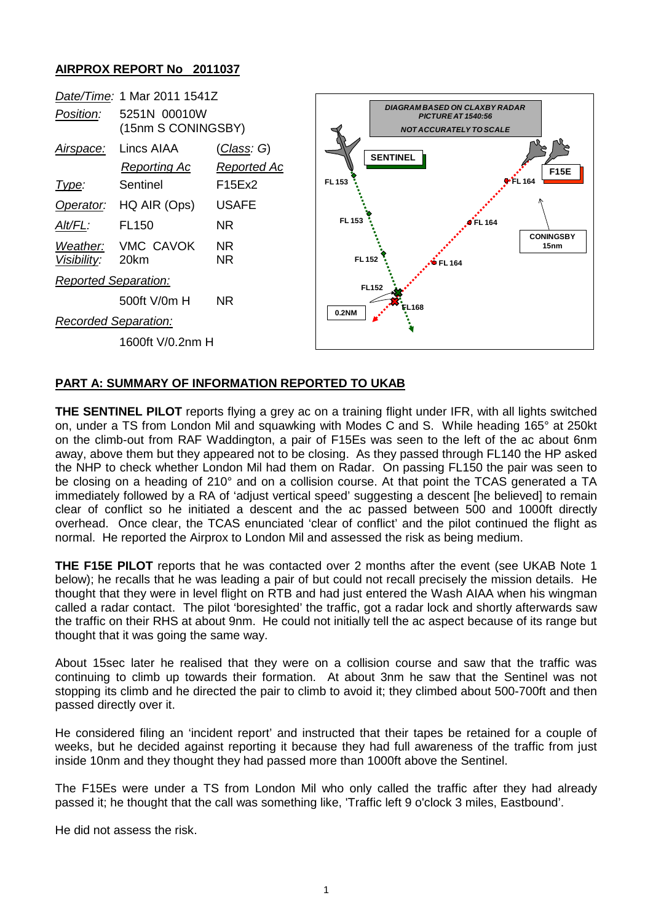## **AIRPROX REPORT No 2011037**



## **PART A: SUMMARY OF INFORMATION REPORTED TO UKAB**

**THE SENTINEL PILOT** reports flying a grey ac on a training flight under IFR, with all lights switched on, under a TS from London Mil and squawking with Modes C and S. While heading 165° at 250kt on the climb-out from RAF Waddington, a pair of F15Es was seen to the left of the ac about 6nm away, above them but they appeared not to be closing. As they passed through FL140 the HP asked the NHP to check whether London Mil had them on Radar. On passing FL150 the pair was seen to be closing on a heading of 210° and on a collision course. At that point the TCAS generated a TA immediately followed by a RA of 'adjust vertical speed' suggesting a descent [he believed] to remain clear of conflict so he initiated a descent and the ac passed between 500 and 1000ft directly overhead. Once clear, the TCAS enunciated 'clear of conflict' and the pilot continued the flight as normal. He reported the Airprox to London Mil and assessed the risk as being medium.

**THE F15E PILOT** reports that he was contacted over 2 months after the event (see UKAB Note 1 below); he recalls that he was leading a pair of but could not recall precisely the mission details. He thought that they were in level flight on RTB and had just entered the Wash AIAA when his wingman called a radar contact. The pilot 'boresighted' the traffic, got a radar lock and shortly afterwards saw the traffic on their RHS at about 9nm. He could not initially tell the ac aspect because of its range but thought that it was going the same way.

About 15sec later he realised that they were on a collision course and saw that the traffic was continuing to climb up towards their formation. At about 3nm he saw that the Sentinel was not stopping its climb and he directed the pair to climb to avoid it; they climbed about 500-700ft and then passed directly over it.

He considered filing an 'incident report' and instructed that their tapes be retained for a couple of weeks, but he decided against reporting it because they had full awareness of the traffic from just inside 10nm and they thought they had passed more than 1000ft above the Sentinel.

The F15Es were under a TS from London Mil who only called the traffic after they had already passed it; he thought that the call was something like, 'Traffic left 9 o'clock 3 miles, Eastbound'.

He did not assess the risk.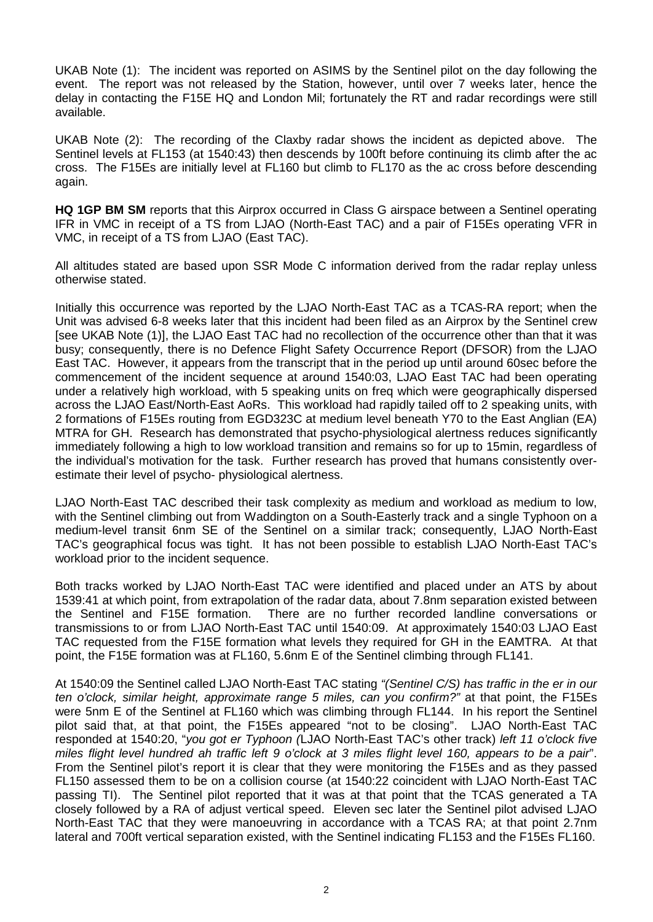UKAB Note (1): The incident was reported on ASIMS by the Sentinel pilot on the day following the event. The report was not released by the Station, however, until over 7 weeks later, hence the delay in contacting the F15E HQ and London Mil; fortunately the RT and radar recordings were still available.

UKAB Note (2): The recording of the Claxby radar shows the incident as depicted above. The Sentinel levels at FL153 (at 1540:43) then descends by 100ft before continuing its climb after the ac cross. The F15Es are initially level at FL160 but climb to FL170 as the ac cross before descending again.

**HQ 1GP BM SM** reports that this Airprox occurred in Class G airspace between a Sentinel operating IFR in VMC in receipt of a TS from LJAO (North-East TAC) and a pair of F15Es operating VFR in VMC, in receipt of a TS from LJAO (East TAC).

All altitudes stated are based upon SSR Mode C information derived from the radar replay unless otherwise stated.

Initially this occurrence was reported by the LJAO North-East TAC as a TCAS-RA report; when the Unit was advised 6-8 weeks later that this incident had been filed as an Airprox by the Sentinel crew [see UKAB Note (1)], the LJAO East TAC had no recollection of the occurrence other than that it was busy; consequently, there is no Defence Flight Safety Occurrence Report (DFSOR) from the LJAO East TAC. However, it appears from the transcript that in the period up until around 60sec before the commencement of the incident sequence at around 1540:03, LJAO East TAC had been operating under a relatively high workload, with 5 speaking units on freq which were geographically dispersed across the LJAO East/North-East AoRs. This workload had rapidly tailed off to 2 speaking units, with 2 formations of F15Es routing from EGD323C at medium level beneath Y70 to the East Anglian (EA) MTRA for GH. Research has demonstrated that psycho-physiological alertness reduces significantly immediately following a high to low workload transition and remains so for up to 15min, regardless of the individual's motivation for the task. Further research has proved that humans consistently overestimate their level of psycho- physiological alertness.

LJAO North-East TAC described their task complexity as medium and workload as medium to low, with the Sentinel climbing out from Waddington on a South-Easterly track and a single Typhoon on a medium-level transit 6nm SE of the Sentinel on a similar track; consequently, LJAO North-East TAC's geographical focus was tight. It has not been possible to establish LJAO North-East TAC's workload prior to the incident sequence.

Both tracks worked by LJAO North-East TAC were identified and placed under an ATS by about 1539:41 at which point, from extrapolation of the radar data, about 7.8nm separation existed between the Sentinel and F15E formation. There are no further recorded landline conversations or transmissions to or from LJAO North-East TAC until 1540:09. At approximately 1540:03 LJAO East TAC requested from the F15E formation what levels they required for GH in the EAMTRA. At that point, the F15E formation was at FL160, 5.6nm E of the Sentinel climbing through FL141.

At 1540:09 the Sentinel called LJAO North-East TAC stating *"(Sentinel C/S) has traffic in the er in our ten o'clock, similar height, approximate range 5 miles, can you confirm?"* at that point, the F15Es were 5nm E of the Sentinel at FL160 which was climbing through FL144. In his report the Sentinel pilot said that, at that point, the F15Es appeared "not to be closing". LJAO North-East TAC responded at 1540:20, "*you got er Typhoon (*LJAO North-East TAC's other track) *left 11 o'clock five miles flight level hundred ah traffic left 9 o'clock at 3 miles flight level 160, appears to be a pair*". From the Sentinel pilot's report it is clear that they were monitoring the F15Es and as they passed FL150 assessed them to be on a collision course (at 1540:22 coincident with LJAO North-East TAC passing TI). The Sentinel pilot reported that it was at that point that the TCAS generated a TA closely followed by a RA of adjust vertical speed. Eleven sec later the Sentinel pilot advised LJAO North-East TAC that they were manoeuvring in accordance with a TCAS RA; at that point 2.7nm lateral and 700ft vertical separation existed, with the Sentinel indicating FL153 and the F15Es FL160.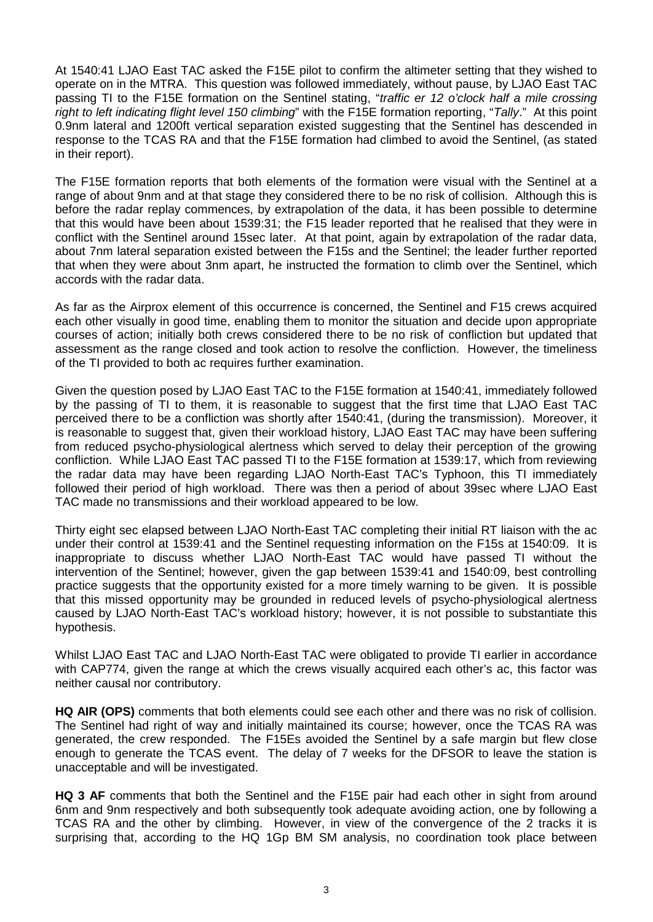At 1540:41 LJAO East TAC asked the F15E pilot to confirm the altimeter setting that they wished to operate on in the MTRA. This question was followed immediately, without pause, by LJAO East TAC passing TI to the F15E formation on the Sentinel stating, "*traffic er 12 o'clock half a mile crossing right to left indicating flight level 150 climbing*" with the F15E formation reporting, "*Tally*." At this point 0.9nm lateral and 1200ft vertical separation existed suggesting that the Sentinel has descended in response to the TCAS RA and that the F15E formation had climbed to avoid the Sentinel, (as stated in their report).

The F15E formation reports that both elements of the formation were visual with the Sentinel at a range of about 9nm and at that stage they considered there to be no risk of collision. Although this is before the radar replay commences, by extrapolation of the data, it has been possible to determine that this would have been about 1539:31; the F15 leader reported that he realised that they were in conflict with the Sentinel around 15sec later. At that point, again by extrapolation of the radar data, about 7nm lateral separation existed between the F15s and the Sentinel; the leader further reported that when they were about 3nm apart, he instructed the formation to climb over the Sentinel, which accords with the radar data.

As far as the Airprox element of this occurrence is concerned, the Sentinel and F15 crews acquired each other visually in good time, enabling them to monitor the situation and decide upon appropriate courses of action; initially both crews considered there to be no risk of confliction but updated that assessment as the range closed and took action to resolve the confliction. However, the timeliness of the TI provided to both ac requires further examination.

Given the question posed by LJAO East TAC to the F15E formation at 1540:41, immediately followed by the passing of TI to them, it is reasonable to suggest that the first time that LJAO East TAC perceived there to be a confliction was shortly after 1540:41, (during the transmission). Moreover, it is reasonable to suggest that, given their workload history, LJAO East TAC may have been suffering from reduced psycho-physiological alertness which served to delay their perception of the growing confliction. While LJAO East TAC passed TI to the F15E formation at 1539:17, which from reviewing the radar data may have been regarding LJAO North-East TAC's Typhoon, this TI immediately followed their period of high workload. There was then a period of about 39sec where LJAO East TAC made no transmissions and their workload appeared to be low.

Thirty eight sec elapsed between LJAO North-East TAC completing their initial RT liaison with the ac under their control at 1539:41 and the Sentinel requesting information on the F15s at 1540:09. It is inappropriate to discuss whether LJAO North-East TAC would have passed TI without the intervention of the Sentinel; however, given the gap between 1539:41 and 1540:09, best controlling practice suggests that the opportunity existed for a more timely warning to be given. It is possible that this missed opportunity may be grounded in reduced levels of psycho-physiological alertness caused by LJAO North-East TAC's workload history; however, it is not possible to substantiate this hypothesis.

Whilst LJAO East TAC and LJAO North-East TAC were obligated to provide TI earlier in accordance with CAP774, given the range at which the crews visually acquired each other's ac, this factor was neither causal nor contributory.

**HQ AIR (OPS)** comments that both elements could see each other and there was no risk of collision. The Sentinel had right of way and initially maintained its course; however, once the TCAS RA was generated, the crew responded. The F15Es avoided the Sentinel by a safe margin but flew close enough to generate the TCAS event. The delay of 7 weeks for the DFSOR to leave the station is unacceptable and will be investigated.

**HQ 3 AF** comments that both the Sentinel and the F15E pair had each other in sight from around 6nm and 9nm respectively and both subsequently took adequate avoiding action, one by following a TCAS RA and the other by climbing. However, in view of the convergence of the 2 tracks it is surprising that, according to the HQ 1Gp BM SM analysis, no coordination took place between